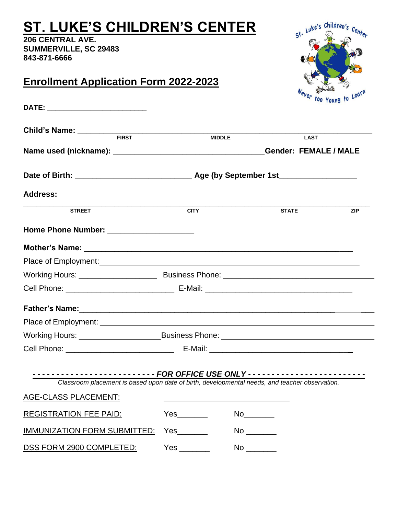# **ST. LUKE'S CHILDREN'S CENTER**

**206 CENTRAL AVE. SUMMERVILLE, SC 29483 843-871-6666**

#### **Enrollment Application Form 2022-2023**

| DATE: ___________________________                                                                                                                                                                                                    |               |                              |            |
|--------------------------------------------------------------------------------------------------------------------------------------------------------------------------------------------------------------------------------------|---------------|------------------------------|------------|
| Child's Name: FIRST                                                                                                                                                                                                                  |               |                              |            |
|                                                                                                                                                                                                                                      | <b>MIDDLE</b> | <b>LAST</b>                  |            |
|                                                                                                                                                                                                                                      |               | <b>Gender: FEMALE / MALE</b> |            |
|                                                                                                                                                                                                                                      |               |                              |            |
| <b>Address:</b>                                                                                                                                                                                                                      |               |                              |            |
| <b>STREET</b>                                                                                                                                                                                                                        | <b>CITY</b>   | <b>STATE</b>                 | <b>ZIP</b> |
|                                                                                                                                                                                                                                      |               |                              |            |
|                                                                                                                                                                                                                                      |               |                              |            |
|                                                                                                                                                                                                                                      |               |                              |            |
|                                                                                                                                                                                                                                      |               |                              |            |
|                                                                                                                                                                                                                                      |               |                              |            |
|                                                                                                                                                                                                                                      |               |                              |            |
|                                                                                                                                                                                                                                      |               |                              |            |
|                                                                                                                                                                                                                                      |               |                              |            |
|                                                                                                                                                                                                                                      |               |                              |            |
|                                                                                                                                                                                                                                      |               |                              |            |
| Classroom placement is based upon date of birth, developmental needs, and teacher observation.                                                                                                                                       |               |                              |            |
| <u>AGE-CLASS PLACEMENT: The contract of the contract of the contract of the contract of the contract of the contract of the contract of the contract of the contract of the contract of the contract of the contract of the cont</u> |               |                              |            |
| <b>REGISTRATION FEE PAID:</b>                                                                                                                                                                                                        |               |                              |            |
| <b>IMMUNIZATION FORM SUBMITTED:</b>                                                                                                                                                                                                  |               |                              |            |
| DSS FORM 2900 COMPLETED:                                                                                                                                                                                                             |               |                              |            |

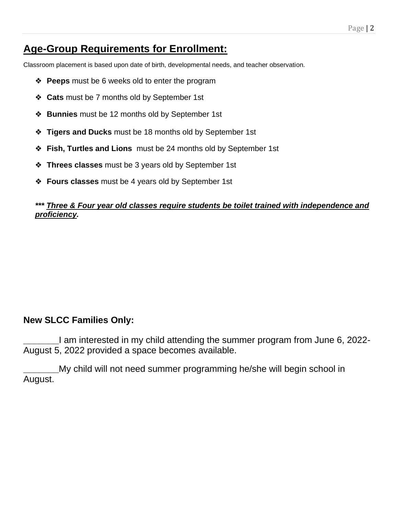#### **Age-Group Requirements for Enrollment:**

Classroom placement is based upon date of birth, developmental needs, and teacher observation.

- ❖ **Peeps** must be 6 weeks old to enter the program
- ❖ **Cats** must be 7 months old by September 1st
- ❖ **Bunnies** must be 12 months old by September 1st
- ❖ **Tigers and Ducks** must be 18 months old by September 1st
- ❖ **Fish, Turtles and Lions** must be 24 months old by September 1st
- ❖ **Threes classes** must be 3 years old by September 1st
- ❖ **Fours classes** must be 4 years old by September 1st

#### *\*\*\* Three & Four year old classes require students be toilet trained with independence and proficiency.*

#### **New SLCC Families Only:**

**\_\_\_\_\_\_\_**I am interested in my child attending the summer program from June 6, 2022- August 5, 2022 provided a space becomes available.

**\_\_\_\_\_\_\_**My child will not need summer programming he/she will begin school in August.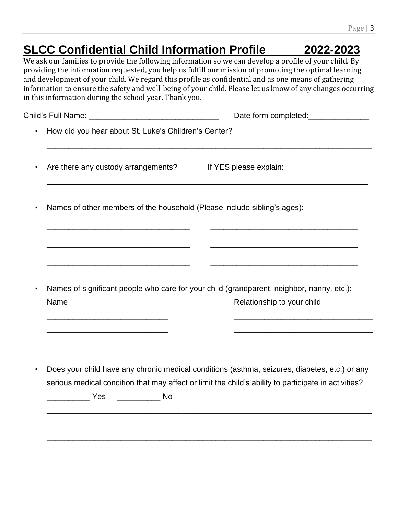## **SLCC Confidential Child Information Profile 2022-2023**

We ask our families to provide the following information so we can develop a profile of your child. By providing the information requested, you help us fulfill our mission of promoting the optimal learning and development of your child. We regard this profile as confidential and as one means of gathering information to ensure the safety and well-being of your child. Please let us know of any changes occurring in this information during the school year. Thank you.

| How did you hear about St. Luke's Children's Center?                                                                    |
|-------------------------------------------------------------------------------------------------------------------------|
| Are there any custody arrangements? ______ If YES please explain: _______________                                       |
| Names of other members of the household (Please include sibling's ages):                                                |
|                                                                                                                         |
| Names of significant people who care for your child (grandparent, neighbor, nanny, etc.):<br>Relationship to your child |
|                                                                                                                         |
| Does your child have any chronic medical conditions (asthma, seizures, diabetes, etc.) or any                           |
| serious medical condition that may affect or limit the child's ability to participate in activities?                    |
|                                                                                                                         |

\_\_\_\_\_\_\_\_\_\_\_\_\_\_\_\_\_\_\_\_\_\_\_\_\_\_\_\_\_\_\_\_\_\_\_\_\_\_\_\_\_\_\_\_\_\_\_\_\_\_\_\_\_\_\_\_\_\_\_\_\_\_\_\_\_\_\_\_\_\_\_\_\_\_\_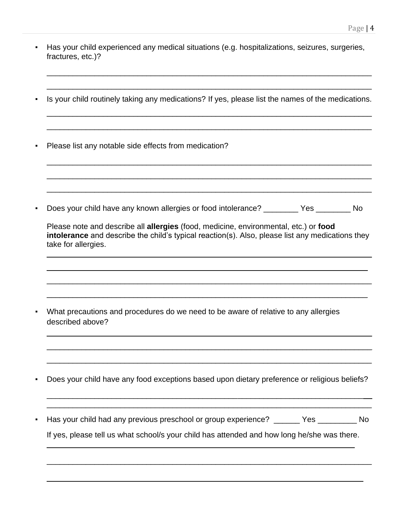- Has your child experienced any medical situations (e.g. hospitalizations, seizures, surgeries, fractures, etc.)?
- Is your child routinely taking any medications? If yes, please list the names of the medications.

\_\_\_\_\_\_\_\_\_\_\_\_\_\_\_\_\_\_\_\_\_\_\_\_\_\_\_\_\_\_\_\_\_\_\_\_\_\_\_\_\_\_\_\_\_\_\_\_\_\_\_\_\_\_\_\_\_\_\_\_\_\_\_\_\_\_\_\_\_\_\_\_\_\_\_

\_\_\_\_\_\_\_\_\_\_\_\_\_\_\_\_\_\_\_\_\_\_\_\_\_\_\_\_\_\_\_\_\_\_\_\_\_\_\_\_\_\_\_\_\_\_\_\_\_\_\_\_\_\_\_\_\_\_\_\_\_\_\_\_\_\_\_\_\_\_\_\_\_\_\_

 $\_$  ,  $\_$  ,  $\_$  ,  $\_$  ,  $\_$  ,  $\_$  ,  $\_$  ,  $\_$  ,  $\_$  ,  $\_$  ,  $\_$  ,  $\_$  ,  $\_$  ,  $\_$  ,  $\_$  ,  $\_$  ,  $\_$  ,  $\_$  ,  $\_$  ,  $\_$  ,  $\_$  ,  $\_$  ,  $\_$  ,  $\_$  ,  $\_$  ,  $\_$  ,  $\_$  ,  $\_$  ,  $\_$  ,  $\_$  ,  $\_$  ,  $\_$  ,  $\_$  ,  $\_$  ,  $\_$  ,  $\_$  ,  $\_$  ,

\_\_\_\_\_\_\_\_\_\_\_\_\_\_\_\_\_\_\_\_\_\_\_\_\_\_\_\_\_\_\_\_\_\_\_\_\_\_\_\_\_\_\_\_\_\_\_\_\_\_\_\_\_\_\_\_\_\_\_\_\_\_\_\_\_\_\_\_\_\_\_\_\_\_\_

\_\_\_\_\_\_\_\_\_\_\_\_\_\_\_\_\_\_\_\_\_\_\_\_\_\_\_\_\_\_\_\_\_\_\_\_\_\_\_\_\_\_\_\_\_\_\_\_\_\_\_\_\_\_\_\_\_\_\_\_\_\_\_\_\_\_\_\_\_\_\_\_\_\_\_

\_\_\_\_\_\_\_\_\_\_\_\_\_\_\_\_\_\_\_\_\_\_\_\_\_\_\_\_\_\_\_\_\_\_\_\_\_\_\_\_\_\_\_\_\_\_\_\_\_\_\_\_\_\_\_\_\_\_\_\_\_\_\_\_\_\_\_\_\_\_\_\_\_\_\_

\_\_\_\_\_\_\_\_\_\_\_\_\_\_\_\_\_\_\_\_\_\_\_\_\_\_\_\_\_\_\_\_\_\_\_\_\_\_\_\_\_\_\_\_\_\_\_\_\_\_\_\_\_\_\_\_\_\_\_\_\_\_\_\_\_\_\_\_\_\_\_\_\_\_\_

▪ Please list any notable side effects from medication?

Does your child have any known allergies or food intolerance? \_\_\_\_\_\_\_\_ Yes \_\_\_\_\_\_\_ No

| Please note and describe all allergies (food, medicine, environmental, etc.) or food<br>intolerance and describe the child's typical reaction(s). Also, please list any medications they<br>take for allergies. |
|-----------------------------------------------------------------------------------------------------------------------------------------------------------------------------------------------------------------|
|                                                                                                                                                                                                                 |
| What precautions and procedures do we need to be aware of relative to any allergies<br>described above?                                                                                                         |
|                                                                                                                                                                                                                 |
| Does your child have any food exceptions based upon dietary preference or religious beliefs?                                                                                                                    |
| Has your child had any previous preschool or group experience? ______ Yes ________ No<br>If yes, please tell us what school/s your child has attended and how long he/she was there.                            |
|                                                                                                                                                                                                                 |

 $\_$  , and the contribution of the contribution of  $\mathcal{L}_\mathcal{A}$  , and the contribution of  $\mathcal{L}_\mathcal{A}$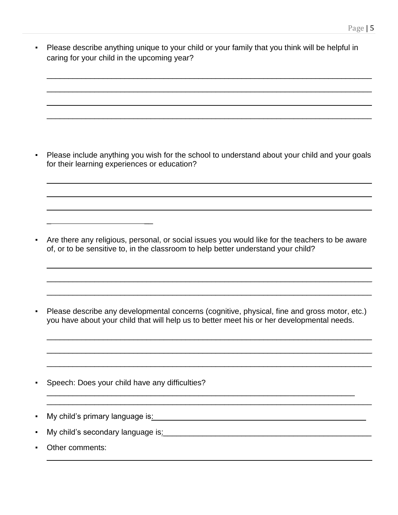▪ Please describe anything unique to your child or your family that you think will be helpful in caring for your child in the upcoming year?

 $\_$  ,  $\_$  ,  $\_$  ,  $\_$  ,  $\_$  ,  $\_$  ,  $\_$  ,  $\_$  ,  $\_$  ,  $\_$  ,  $\_$  ,  $\_$  ,  $\_$  ,  $\_$  ,  $\_$  ,  $\_$  ,  $\_$  ,  $\_$  ,  $\_$  ,  $\_$  ,  $\_$  ,  $\_$  ,  $\_$  ,  $\_$  ,  $\_$  ,  $\_$  ,  $\_$  ,  $\_$  ,  $\_$  ,  $\_$  ,  $\_$  ,  $\_$  ,  $\_$  ,  $\_$  ,  $\_$  ,  $\_$  ,  $\_$  ,

 $\_$  , and the set of the set of the set of the set of the set of the set of the set of the set of the set of the set of the set of the set of the set of the set of the set of the set of the set of the set of the set of th

 $\_$  ,  $\_$  ,  $\_$  ,  $\_$  ,  $\_$  ,  $\_$  ,  $\_$  ,  $\_$  ,  $\_$  ,  $\_$  ,  $\_$  ,  $\_$  ,  $\_$  ,  $\_$  ,  $\_$  ,  $\_$  ,  $\_$  ,  $\_$  ,  $\_$  ,  $\_$  ,  $\_$  ,  $\_$  ,  $\_$  ,  $\_$  ,  $\_$  ,  $\_$  ,  $\_$  ,  $\_$  ,  $\_$  ,  $\_$  ,  $\_$  ,  $\_$  ,  $\_$  ,  $\_$  ,  $\_$  ,  $\_$  ,  $\_$  ,

\_\_\_\_\_\_\_\_\_\_\_\_\_\_\_\_\_\_\_\_\_\_\_\_\_\_\_\_\_\_\_\_\_\_\_\_\_\_\_\_\_\_\_\_\_\_\_\_\_\_\_\_\_\_\_\_\_\_\_\_\_\_\_\_\_\_\_\_\_\_\_\_\_\_\_

Please include anything you wish for the school to understand about your child and your goals for their learning experiences or education?

 $\_$  ,  $\_$  ,  $\_$  ,  $\_$  ,  $\_$  ,  $\_$  ,  $\_$  ,  $\_$  ,  $\_$  ,  $\_$  ,  $\_$  ,  $\_$  ,  $\_$  ,  $\_$  ,  $\_$  ,  $\_$  ,  $\_$  ,  $\_$  ,  $\_$  ,  $\_$  ,  $\_$  ,  $\_$  ,  $\_$  ,  $\_$  ,  $\_$  ,  $\_$  ,  $\_$  ,  $\_$  ,  $\_$  ,  $\_$  ,  $\_$  ,  $\_$  ,  $\_$  ,  $\_$  ,  $\_$  ,  $\_$  ,  $\_$  ,

\_\_\_\_\_\_\_\_\_\_\_\_\_\_\_\_\_\_\_\_\_\_\_\_\_\_\_\_\_\_\_\_\_\_\_\_\_\_\_\_\_\_\_\_\_\_\_\_\_\_\_\_\_\_\_\_\_\_\_\_\_\_\_\_\_\_\_\_\_\_\_\_\_\_\_

\_\_\_\_\_\_\_\_\_\_\_\_\_\_\_\_\_\_\_\_\_\_\_\_\_\_\_\_\_\_\_\_\_\_\_\_\_\_\_\_\_\_\_\_\_\_\_\_\_\_\_\_\_\_\_\_\_\_\_\_\_\_\_\_\_\_\_\_\_\_\_\_\_\_\_

Are there any religious, personal, or social issues you would like for the teachers to be aware of, or to be sensitive to, in the classroom to help better understand your child?

 $\_$  ,  $\_$  ,  $\_$  ,  $\_$  ,  $\_$  ,  $\_$  ,  $\_$  ,  $\_$  ,  $\_$  ,  $\_$  ,  $\_$  ,  $\_$  ,  $\_$  ,  $\_$  ,  $\_$  ,  $\_$  ,  $\_$  ,  $\_$  ,  $\_$  ,  $\_$  ,  $\_$  ,  $\_$  ,  $\_$  ,  $\_$  ,  $\_$  ,  $\_$  ,  $\_$  ,  $\_$  ,  $\_$  ,  $\_$  ,  $\_$  ,  $\_$  ,  $\_$  ,  $\_$  ,  $\_$  ,  $\_$  ,  $\_$  ,

 $\_$  ,  $\_$  ,  $\_$  ,  $\_$  ,  $\_$  ,  $\_$  ,  $\_$  ,  $\_$  ,  $\_$  ,  $\_$  ,  $\_$  ,  $\_$  ,  $\_$  ,  $\_$  ,  $\_$  ,  $\_$  ,  $\_$  ,  $\_$  ,  $\_$ 

\_\_\_\_\_\_\_\_\_\_\_\_\_\_\_\_\_\_\_\_\_\_\_\_\_\_\_\_\_\_\_\_\_\_\_\_\_\_\_\_\_\_\_\_\_\_\_\_\_\_\_\_\_\_\_\_\_\_\_\_\_\_\_\_\_\_\_\_\_\_\_\_\_\_\_

 $\_$  ,  $\_$  ,  $\_$  ,  $\_$  ,  $\_$  ,  $\_$  ,  $\_$  ,  $\_$  ,  $\_$  ,  $\_$  ,  $\_$  ,  $\_$  ,  $\_$  ,  $\_$  ,  $\_$  ,  $\_$  ,  $\_$  ,  $\_$  ,  $\_$  ,  $\_$  ,  $\_$  ,  $\_$  ,  $\_$  ,  $\_$  ,  $\_$  ,  $\_$  ,  $\_$  ,  $\_$  ,  $\_$  ,  $\_$  ,  $\_$  ,  $\_$  ,  $\_$  ,  $\_$  ,  $\_$  ,  $\_$  ,  $\_$  ,

\_\_\_\_\_\_\_\_\_\_\_\_\_\_\_\_\_\_\_\_\_\_\_\_\_\_\_\_\_\_\_\_\_\_\_\_\_\_\_\_\_\_\_\_\_\_\_\_\_\_\_\_\_\_\_\_\_\_\_\_\_\_\_\_\_\_\_\_\_\_\_\_\_\_\_

\_\_\_\_\_\_\_\_\_\_\_\_\_\_\_\_\_\_\_\_\_\_\_\_\_\_\_\_\_\_\_\_\_\_\_\_\_\_\_\_\_\_\_\_\_\_\_\_\_\_\_\_\_\_\_\_\_\_\_\_\_\_\_\_\_\_\_\_\_\_\_\_\_\_\_

 $\_$  ,  $\_$  ,  $\_$  ,  $\_$  ,  $\_$  ,  $\_$  ,  $\_$  ,  $\_$  ,  $\_$  ,  $\_$  ,  $\_$  ,  $\_$  ,  $\_$  ,  $\_$  ,  $\_$  ,  $\_$  ,  $\_$  ,  $\_$  ,  $\_$  ,  $\_$  ,  $\_$  ,  $\_$  ,  $\_$  ,  $\_$  ,  $\_$  ,  $\_$  ,  $\_$  ,  $\_$  ,  $\_$  ,  $\_$  ,  $\_$  ,  $\_$  ,  $\_$  ,  $\_$  ,  $\_$  ,  $\_$  ,  $\_$  ,

 $\_$  , and the set of the set of the set of the set of the set of the set of the set of the set of the set of the set of the set of the set of the set of the set of the set of the set of the set of the set of the set of th \_\_\_\_\_\_\_\_\_\_\_\_\_\_\_\_\_\_\_\_\_\_\_\_\_\_\_\_\_\_\_\_\_\_\_\_\_\_\_\_\_\_\_\_\_\_\_\_\_\_\_\_\_\_\_\_\_\_\_\_\_\_\_\_\_\_\_\_\_\_\_\_\_\_\_

Please describe any developmental concerns (cognitive, physical, fine and gross motor, etc.) you have about your child that will help us to better meet his or her developmental needs.

Speech: Does your child have any difficulties?

- My child's primary language is:\_\_\_\_\_\_\_\_\_\_\_\_\_\_\_\_\_\_\_\_\_\_\_\_\_\_\_\_\_\_\_\_\_\_\_\_\_\_\_\_\_\_\_\_\_\_\_\_\_
- My child's secondary language is:\_\_\_\_\_\_\_\_\_\_\_\_\_\_\_\_\_\_\_\_\_\_\_\_\_\_\_\_\_\_\_\_\_\_\_\_\_\_\_\_\_\_\_\_\_\_\_\_

\_ \_\_

Other comments: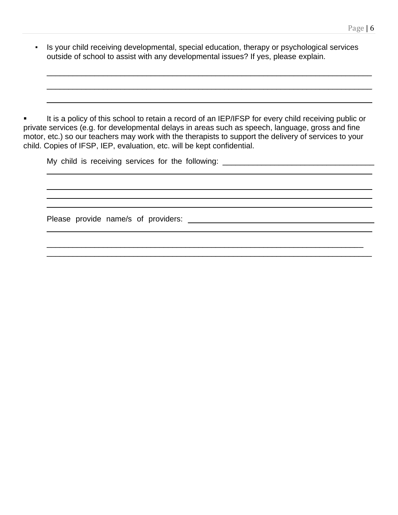▪ Is your child receiving developmental, special education, therapy or psychological services outside of school to assist with any developmental issues? If yes, please explain.

 $\_$  ,  $\_$  ,  $\_$  ,  $\_$  ,  $\_$  ,  $\_$  ,  $\_$  ,  $\_$  ,  $\_$  ,  $\_$  ,  $\_$  ,  $\_$  ,  $\_$  ,  $\_$  ,  $\_$  ,  $\_$  ,  $\_$  ,  $\_$  ,  $\_$  ,  $\_$  ,  $\_$  ,  $\_$  ,  $\_$  ,  $\_$  ,  $\_$  ,  $\_$  ,  $\_$  ,  $\_$  ,  $\_$  ,  $\_$  ,  $\_$  ,  $\_$  ,  $\_$  ,  $\_$  ,  $\_$  ,  $\_$  ,  $\_$  ,

 $\_$  ,  $\_$  ,  $\_$  ,  $\_$  ,  $\_$  ,  $\_$  ,  $\_$  ,  $\_$  ,  $\_$  ,  $\_$  ,  $\_$  ,  $\_$  ,  $\_$  ,  $\_$  ,  $\_$  ,  $\_$  ,  $\_$  ,  $\_$  ,  $\_$  ,  $\_$  ,  $\_$  ,  $\_$  ,  $\_$  ,  $\_$  ,  $\_$  ,  $\_$  ,  $\_$  ,  $\_$  ,  $\_$  ,  $\_$  ,  $\_$  ,  $\_$  ,  $\_$  ,  $\_$  ,  $\_$  ,  $\_$  ,  $\_$  ,

\_\_\_\_\_\_\_\_\_\_\_\_\_\_\_\_\_\_\_\_\_\_\_\_\_\_\_\_\_\_\_\_\_\_\_\_\_\_\_\_\_\_\_\_\_\_\_\_\_\_\_\_\_\_\_\_\_\_\_\_\_\_\_\_\_\_\_\_\_\_\_\_\_\_\_

It is a policy of this school to retain a record of an IEP/IFSP for every child receiving public or private services (e.g. for developmental delays in areas such as speech, language, gross and fine motor, etc.) so our teachers may work with the therapists to support the delivery of services to your child. Copies of IFSP, IEP, evaluation, etc. will be kept confidential.

| My child is receiving services for the following: ______________________________ |  |
|----------------------------------------------------------------------------------|--|
|                                                                                  |  |
|                                                                                  |  |
|                                                                                  |  |
|                                                                                  |  |

 $\_$  ,  $\_$  ,  $\_$  ,  $\_$  ,  $\_$  ,  $\_$  ,  $\_$  ,  $\_$  ,  $\_$  ,  $\_$  ,  $\_$  ,  $\_$  ,  $\_$  ,  $\_$  ,  $\_$  ,  $\_$  ,  $\_$  ,  $\_$  ,  $\_$  $\_$  ,  $\_$  ,  $\_$  ,  $\_$  ,  $\_$  ,  $\_$  ,  $\_$  ,  $\_$  ,  $\_$  ,  $\_$  ,  $\_$  ,  $\_$  ,  $\_$  ,  $\_$  ,  $\_$  ,  $\_$  ,  $\_$  ,  $\_$  ,  $\_$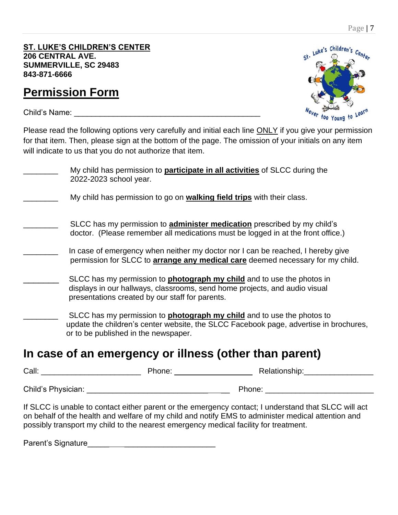**ST. LUKE'S CHILDREN'S CENTER 206 CENTRAL AVE. SUMMERVILLE, SC 29483 843-871-6666**

## **Permission Form**

Child's Name: \_\_\_\_\_\_\_\_\_\_\_\_\_\_\_\_\_\_\_\_\_\_\_\_\_\_\_\_\_\_\_\_\_\_\_\_\_\_\_\_\_\_\_



Please read the following options very carefully and initial each line ONLY if you give your permission for that item. Then, please sign at the bottom of the page. The omission of your initials on any item will indicate to us that you do not authorize that item.

| My child has permission to <b>participate in all activities</b> of SLCC during the<br>2022-2023 school year.                                                                                                   |
|----------------------------------------------------------------------------------------------------------------------------------------------------------------------------------------------------------------|
| My child has permission to go on <b>walking field trips</b> with their class.                                                                                                                                  |
| SLCC has my permission to <b>administer medication</b> prescribed by my child's<br>doctor. (Please remember all medications must be logged in at the front office.)                                            |
| In case of emergency when neither my doctor nor I can be reached, I hereby give<br>permission for SLCC to arrange any medical care deemed necessary for my child.                                              |
| SLCC has my permission to <b>photograph my child</b> and to use the photos in<br>displays in our hallways, classrooms, send home projects, and audio visual<br>presentations created by our staff for parents. |
| SLCC has my permission to <b>photograph my child</b> and to use the photos to<br>update the children's center website, the SLCC Facebook page, advertise in brochures,<br>or to be published in the newspaper. |

#### **In case of an emergency or illness (other than parent)**

Call: \_\_\_\_\_\_\_\_\_\_\_\_\_\_\_\_\_\_\_\_\_\_\_ Phone: \_\_\_\_\_\_\_\_\_\_\_\_\_ \_\_ Relationship:\_\_\_\_\_\_\_\_\_\_\_\_\_\_\_\_

Child's Physician: \_\_\_\_\_\_\_\_\_\_\_\_\_\_\_\_\_\_\_\_\_\_\_\_\_\_\_\_ \_\_ Phone: \_\_\_\_\_\_\_\_\_\_\_\_\_\_\_\_\_\_\_\_\_\_\_\_\_

If SLCC is unable to contact either parent or the emergency contact; I understand that SLCC will act on behalf of the health and welfare of my child and notify EMS to administer medical attention and possibly transport my child to the nearest emergency medical facility for treatment.

Parent's Signature\_\_\_\_\_ \_\_\_\_\_\_\_\_\_\_\_\_\_\_\_\_\_\_\_\_\_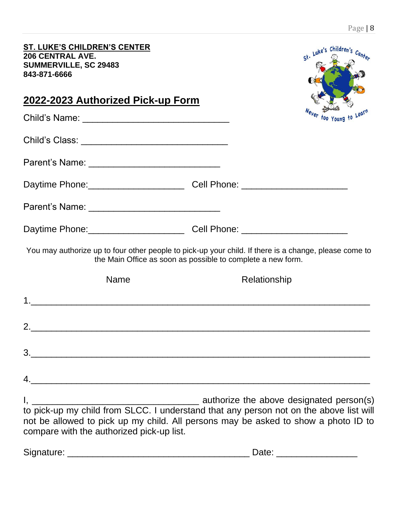| <b>ST. LUKE'S CHILDREN'S CENTER</b><br>206 CENTRAL AVE.<br><b>SUMMERVILLE, SC 29483</b><br>843-871-6666                         |                                                             | st. Luke's Children's Center |
|---------------------------------------------------------------------------------------------------------------------------------|-------------------------------------------------------------|------------------------------|
| <u>2022-2023 Authorized Pick-up Form</u>                                                                                        |                                                             |                              |
|                                                                                                                                 |                                                             | ever too Young to Learn      |
|                                                                                                                                 |                                                             |                              |
|                                                                                                                                 |                                                             |                              |
| Daytime Phone: ________________________________Cell Phone: _____________________                                                |                                                             |                              |
|                                                                                                                                 |                                                             |                              |
| Daytime Phone: _________________________________Cell Phone: ____________________                                                |                                                             |                              |
| You may authorize up to four other people to pick-up your child. If there is a change, please come to                           | the Main Office as soon as possible to complete a new form. |                              |
| <b>Name</b>                                                                                                                     | Relationship                                                |                              |
|                                                                                                                                 |                                                             |                              |
| 2.                                                                                                                              |                                                             |                              |
|                                                                                                                                 |                                                             |                              |
|                                                                                                                                 |                                                             |                              |
| not be allowed to pick up my child. All persons may be asked to show a photo ID to<br>compare with the authorized pick-up list. |                                                             |                              |

| Signature:<br>$ -$ | -- |  |
|--------------------|----|--|
|                    |    |  |